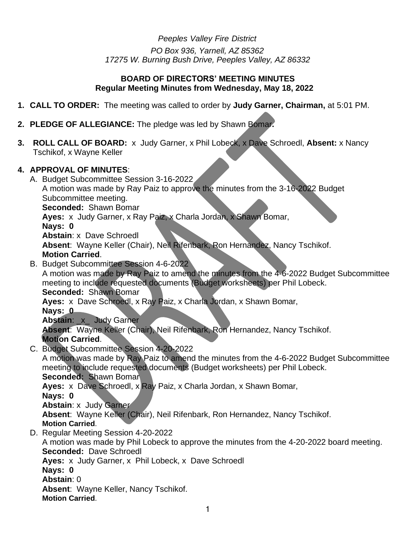*Peeples Valley Fire District PO Box 936, Yarnell, AZ 85362 17275 W. Burning Bush Drive, Peeples Valley, AZ 86332*

### **BOARD OF DIRECTORS' MEETING MINUTES Regular Meeting Minutes from Wednesday, May 18, 2022**

- **1. CALL TO ORDER:** The meeting was called to order by **Judy Garner, Chairman,** at 5:01 PM.
- **2. PLEDGE OF ALLEGIANCE:** The pledge was led by Shawn Bomar**.**
- **3. ROLL CALL OF BOARD:** x Judy Garner, x Phil Lobeck, x Dave Schroedl, **Absent:** x Nancy Tschikof, x Wayne Keller

### **4. APPROVAL OF MINUTES**:

A. Budget Subcommittee Session 3-16-2022

```
A motion was made by Ray Paiz to approve the minutes from the 3-16-2022 Budget 
Subcommittee meeting.
```
**Seconded:** Shawn Bomar

**Ayes:** x Judy Garner, x Ray Paiz, x Charla Jordan, x Shawn Bomar,

**Nays: 0**

**Abstain**: x Dave Schroedl

**Absent**: Wayne Keller (Chair), Neil Rifenbark, Ron Hernandez, Nancy Tschikof.

### **Motion Carried**.

B. Budget Subcommittee Session 4-6-2022

A motion was made by Ray Paiz to amend the minutes from the 4-6-2022 Budget Subcommittee meeting to include requested documents (Budget worksheets) per Phil Lobeck. **Seconded:** Shawn Bomar

**Ayes:** x Dave Schroedl, x Ray Paiz, x Charla Jordan, x Shawn Bomar,

**Nays: 0**

**Abstain**: \_x\_ Judy Garner

**Absent**: Wayne Keller (Chair), Neil Rifenbark, Ron Hernandez, Nancy Tschikof. **Motion Carried**.

C. Budget Subcommittee Session 4-20-2022

A motion was made by Ray Paiz to amend the minutes from the 4-6-2022 Budget Subcommittee meeting to include requested documents (Budget worksheets) per Phil Lobeck.

**Seconded:** Shawn Bomar

**Ayes:** x Dave Schroedl, x Ray Paiz, x Charla Jordan, x Shawn Bomar,

**Nays: 0**

**Abstain**: x Judy Garner

**Absent**: Wayne Keller (Chair), Neil Rifenbark, Ron Hernandez, Nancy Tschikof.

**Motion Carried**.

D. Regular Meeting Session 4-20-2022

A motion was made by Phil Lobeck to approve the minutes from the 4-20-2022 board meeting. **Seconded:** Dave Schroedl

**Ayes:** x Judy Garner, x Phil Lobeck, x Dave Schroedl

**Nays: 0**

**Abstain**: 0

**Absent**: Wayne Keller, Nancy Tschikof.

**Motion Carried**.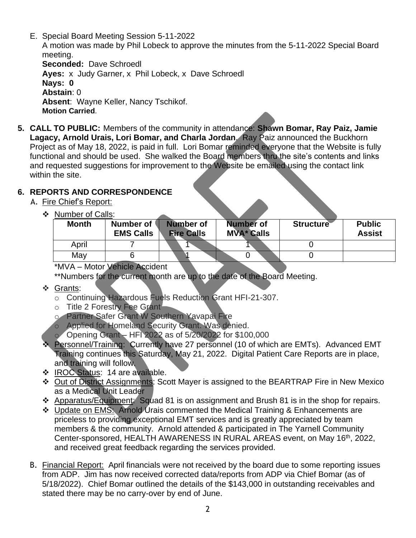- E. Special Board Meeting Session 5-11-2022 A motion was made by Phil Lobeck to approve the minutes from the 5-11-2022 Special Board meeting. **Seconded:** Dave Schroedl **Ayes:** x Judy Garner, x Phil Lobeck, x Dave Schroedl **Nays: 0 Abstain**: 0 **Absent**: Wayne Keller, Nancy Tschikof. **Motion Carried**.
- **5. CALL TO PUBLIC:** Members of the community in attendance: **Shawn Bomar, Ray Paiz, Jamie Lagacy, Arnold Urais, Lori Bomar, and Charla Jordan**. Ray Paiz announced the Buckhorn Project as of May 18, 2022, is paid in full. Lori Bomar reminded everyone that the Website is fully functional and should be used. She walked the Board members thru the site's contents and links and requested suggestions for improvement to the Website be emailed using the contact link within the site.

# **6. REPORTS AND CORRESPONDENCE**

- A. Fire Chief's Report:
	- ❖ Number of Calls:

| <b>Month</b> | Number of<br><b>EMS Calls</b> | Number of<br><b>Fire Calls</b> | <b>Number of</b><br><b>MVA* Calls</b> | <b>Structure</b> | <b>Public</b><br><b>Assist</b> |
|--------------|-------------------------------|--------------------------------|---------------------------------------|------------------|--------------------------------|
| April        |                               |                                |                                       |                  |                                |
| May          |                               |                                |                                       |                  |                                |

\*MVA – Motor Vehicle Accident

\*\*Numbers for the current month are up to the date of the Board Meeting.

- ❖ Grants:
	- o Continuing Hazardous Fuels Reduction Grant HFI-21-307.
	- o Title 2 Forestry Fee Grant
	- o Partner Safer Grant W Southern Yavapai Fire
	- o Applied for Homeland Security Grant. Was denied.
	- o Opening Grant HFI 2022 as of 5/20/2022 for \$100,000
- ❖ Personnel/Training: Currently have 27 personnel (10 of which are EMTs). Advanced EMT Training continues this Saturday, May 21, 2022. Digital Patient Care Reports are in place, and training will follow.
- ❖ IROC Status: 14 are available.
- ❖ Out of District Assignments: Scott Mayer is assigned to the BEARTRAP Fire in New Mexico as a Medical Unit Leader
- ❖ Apparatus/Equipment: Squad 81 is on assignment and Brush 81 is in the shop for repairs.
- ❖ Update on EMS: Arnold Urais commented the Medical Training & Enhancements are priceless to providing exceptional EMT services and is greatly appreciated by team members & the community. Arnold attended & participated in The Yarnell Community Center-sponsored, HEALTH AWARENESS IN RURAL AREAS event, on May 16<sup>th</sup>, 2022, and received great feedback regarding the services provided.
- B. Financial Report: April financials were not received by the board due to some reporting issues from ADP. Jim has now received corrected data/reports from ADP via Chief Bomar (as of 5/18/2022). Chief Bomar outlined the details of the \$143,000 in outstanding receivables and stated there may be no carry-over by end of June.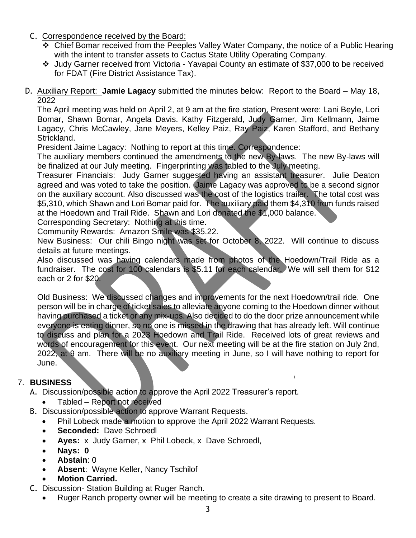- C. Correspondence received by the Board:
	- ❖ Chief Bomar received from the Peeples Valley Water Company, the notice of a Public Hearing with the intent to transfer assets to Cactus State Utility Operating Company.
	- ❖ Judy Garner received from Victoria Yavapai County an estimate of \$37,000 to be received for FDAT (Fire District Assistance Tax).
- D. Auxiliary Report: **Jamie Lagacy** submitted the minutes below: Report to the Board May 18, 2022

The April meeting was held on April 2, at 9 am at the fire station, Present were: Lani Beyle, Lori Bomar, Shawn Bomar, Angela Davis. Kathy Fitzgerald, Judy Garner, Jim Kellmann, Jaime Lagacy, Chris McCawley, Jane Meyers, Kelley Paiz, Ray Paiz, Karen Stafford, and Bethany Strickland.

President Jaime Lagacy: Nothing to report at this time. Correspondence:

The auxiliary members continued the amendments to the new By-laws. The new By-laws will be finalized at our July meeting. Fingerprinting was tabled to the July meeting.

Treasurer Financials: Judy Garner suggested having an assistant treasurer. Julie Deaton agreed and was voted to take the position. Jaime Lagacy was approved to be a second signor on the auxiliary account. Also discussed was the cost of the logistics trailer. The total cost was \$5,310, which Shawn and Lori Bomar paid for. The auxiliary paid them \$4,310 from funds raised at the Hoedown and Trail Ride. Shawn and Lori donated the \$1,000 balance.

Corresponding Secretary: Nothing at this time.

Community Rewards: Amazon Smile was \$35.22.

New Business: Our chili Bingo night was set for October 8, 2022. Will continue to discuss details at future meetings.

Also discussed was having calendars made from photos of the Hoedown/Trail Ride as a fundraiser. The cost for 100 calendars is \$5.11 for each calendar. We will sell them for \$12 each or 2 for \$20.

Old Business: We discussed changes and improvements for the next Hoedown/trail ride. One person will be in charge of ticket sales to alleviate anyone coming to the Hoedown dinner without having purchased a ticket or any mix-ups. Also decided to do the door prize announcement while everyone is eating dinner, so no one is missed in the drawing that has already left. Will continue to discuss and plan for a 2023 Hoedown and Trail Ride. Received lots of great reviews and words of encouragement for this event. Our next meeting will be at the fire station on July 2nd, 2022, at 9 am. There will be no auxiliary meeting in June, so I will have nothing to report for June.

1

# 7. **BUSINESS**

A. Discussion/possible action to approve the April 2022 Treasurer's report.

- Tabled Report not received
- B. Discussion/possible action to approve Warrant Requests.
	- Phil Lobeck made a motion to approve the April 2022 Warrant Requests.
	- **Seconded: Dave Schroedl**
	- **Ayes:** x Judy Garner, x Phil Lobeck, x Dave Schroedl,
	- **Nays: 0**
	- **Abstain**: 0
	- **Absent**: Wayne Keller, Nancy Tschilof
	- **Motion Carried.**
- C. Discussion- Station Building at Ruger Ranch.
	- Ruger Ranch property owner will be meeting to create a site drawing to present to Board.